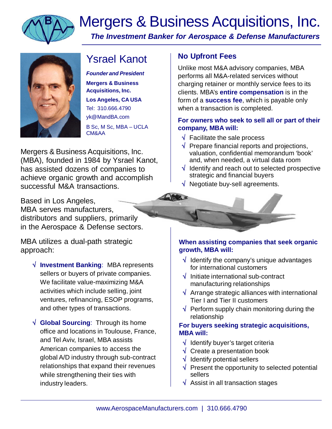

# Mergers & Business Acquisitions, Inc. *The Investment Banker for Aerospace & Defense Manufacturers*



## Ysrael Kanot

*Founder and President* **Mergers & Business Acquisitions, Inc. Los Angeles, CA USA** Tel: 310.666.4790 [yk@MandBA.com](mailto:yk@MandBA.com) B Sc, M Sc, MBA – UCLA CM&AA

Mergers & Business Acquisitions, Inc. (MBA), founded in 1984 by Ysrael Kanot, has assisted dozens of companies to achieve organic growth and accomplish successful M&A transactions.

Based in Los Angeles, MBA serves manufacturers, distributors and suppliers, primarily in the Aerospace & Defense sectors.

MBA utilizes a dual-path strategic approach:

- **Investment Banking**: MBA represents sellers or buyers of private companies. We facilitate value-maximizing M&A activities which include selling, joint ventures, refinancing, ESOP programs, and other types of transactions.
- **Global Sourcing**: Through its home office and locations in Toulouse, France, and Tel Aviv, Israel, MBA assists American companies to access the global A/D industry through sub-contract relationships that expand their revenues while strengthening their ties with industry leaders.

## **No Upfront Fees**

Unlike most M&A advisory companies, MBA performs all M&A-related services without charging retainer or monthly service fees to its clients. MBA's **entire compensation** is in the form of a **success fee**, which is payable only when a transaction is completed.

#### **For owners who seek to sell all or part of their company, MBA will:**

- $\sqrt{\phantom{a}}$  Facilitate the sale process
- $\sqrt{ }$  Prepare financial reports and projections, valuation, confidential memorandum 'book' and, when needed, a virtual data room
- $\sqrt{ }$  Identify and reach out to selected prospective strategic and financial buyers
- $\sqrt{\phantom{a}}$  Negotiate buy-sell agreements.

#### **When assisting companies that seek organic growth, MBA will:**

- $\sqrt{\ }$  Identify the company's unique advantages for international customers
- $\sqrt{ }$  Initiate international sub-contract manufacturing relationships
- $\sqrt{ }$  Arrange strategic alliances with international Tier I and Tier II customers
- $\sqrt{ }$  Perform supply chain monitoring during the relationship

### **For buyers seeking strategic acquisitions, MBA will:**

- $\sqrt{\ }$  Identify buyer's target criteria
- $\sqrt{ }$  Create a presentation book
- $\sqrt{\phantom{a}}$  Identify potential sellers
- $\sqrt{ }$  Present the opportunity to selected potential sellers
- $\sqrt{\phantom{a}}$  Assist in all transaction stages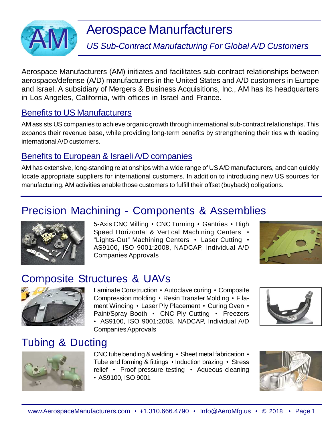

# Aerospace Manurfacturers

*US Sub-Contract Manufacturing For Global A/D Customers*

Aerospace Manufacturers (AM) initiates and facilitates sub-contract relationships between aerospace/defense (A/D) manufacturers in the United States and A/D customers in Europe and Israel. A subsidiary of Mergers & Business Acquisitions, Inc., AM has its headquarters in Los Angeles, California, with offices in Israel and France.

## Benefits to US Manufacturers

AM assists US companies to achieve organic growth through international sub-contract relationships. This expands their revenue base, while providing long-term benefits by strengthening their ties with leading international A/D customers.

## Benefits to European & Israeli A/D companies

AM has extensive, long-standing relationships with a wide range of US A/D manufacturers, and can quickly locate appropriate suppliers for international customers. In addition to introducing new US sources for manufacturing, AM activities enable those customers to fulfill their offset (buyback) obligations.

## Precision Machining - Components & Assemblies



5-Axis CNC Milling • CNC Turning • Gantries • High Speed Horizontal & Vertical Machining Centers • "Lights-Out" Machining Centers • Laser Cutting • AS9100, ISO 9001:2008, NADCAP, Individual A/D Companies Approvals



## Composite Structures & UAVs



Laminate Construction • Autoclave curing • Composite Compression molding • Resin Transfer Molding • Filament Winding • Laser Ply Placement • Curing Oven • Paint/Spray Booth • CNC Ply Cutting • Freezers • AS9100, ISO 9001:2008, NADCAP, Individual A/D Companies Approvals



## Tubing & Ducting



CNC tube bending & welding • Sheet metal fabrication • Tube end forming & fittings • Induction brazing • Stress relief • Proof pressure testing • Aqueous cleaning • AS9100, ISO 9001